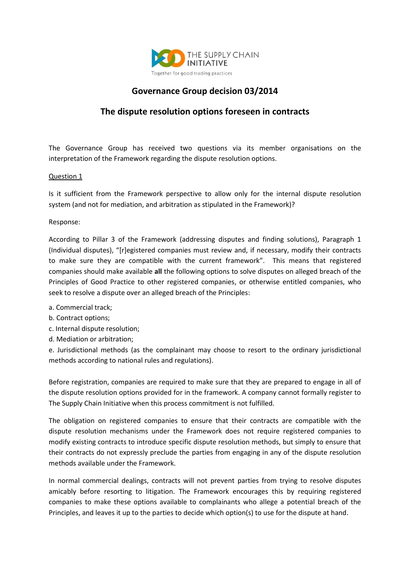

## **Governance Group decision 03/2014**

## **The dispute resolution options foreseen in contracts**

The Governance Group has received two questions via its member organisations on the interpretation of the Framework regarding the dispute resolution options.

## Question 1

Is it sufficient from the Framework perspective to allow only for the internal dispute resolution system (and not for mediation, and arbitration as stipulated in the Framework)?

Response:

According to Pillar 3 of the Framework (addressing disputes and finding solutions), Paragraph 1 (Individual disputes), "[r]egistered companies must review and, if necessary, modify their contracts to make sure they are compatible with the current framework". This means that registered companies should make available **all** the following options to solve disputes on alleged breach of the Principles of Good Practice to other registered companies, or otherwise entitled companies, who seek to resolve a dispute over an alleged breach of the Principles:

- a. Commercial track;
- b. Contract options;
- c. Internal dispute resolution;
- d. Mediation or arbitration;

e. Jurisdictional methods (as the complainant may choose to resort to the ordinary jurisdictional methods according to national rules and regulations).

Before registration, companies are required to make sure that they are prepared to engage in all of the dispute resolution options provided for in the framework. A company cannot formally register to The Supply Chain Initiative when this process commitment is not fulfilled.

The obligation on registered companies to ensure that their contracts are compatible with the dispute resolution mechanisms under the Framework does not require registered companies to modify existing contracts to introduce specific dispute resolution methods, but simply to ensure that their contracts do not expressly preclude the parties from engaging in any of the dispute resolution methods available under the Framework.

In normal commercial dealings, contracts will not prevent parties from trying to resolve disputes amicably before resorting to litigation. The Framework encourages this by requiring registered companies to make these options available to complainants who allege a potential breach of the Principles, and leaves it up to the parties to decide which option(s) to use for the dispute at hand.